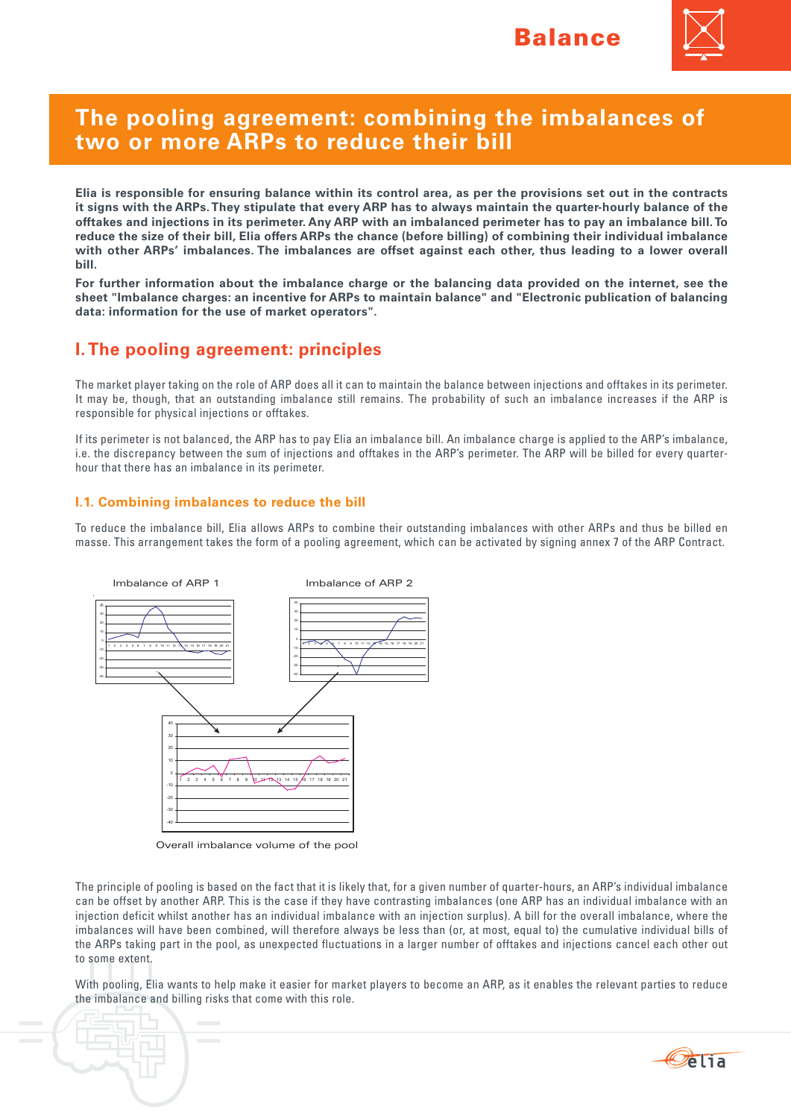

# **The pooling agreement: combining the imbalances of two or more ARPs to reduce their bill**

**Elia is responsible for ensuring balance within its control area, as per the provisions set out in the contracts it signs with the ARPs. They stipulate that every ARP has to always maintain the quarter-hourly balance of the offtakes and injections in its perimeter. Any ARP with an imbalanced perimeter has to pay an imbalance bill. To reduce the size of their bill, Elia offers ARPs the chance (before billing) of combining their individual imbalance with other ARPs' imbalances. The imbalances are offset against each other, thus leading to a lower overall bill.** 

**For further information about the imbalance charge or the balancing data provided on the internet, see the sheet "Imbalance charges: an incentive for ARPs to maintain balance" and "Electronic publication of balancing data: information for the use of market operators".** 

# **I. The pooling agreement: principles**

The market player taking on the role of ARP does all it can to maintain the balance between injections and offtakes in its perimeter. It may be, though, that an outstanding imbalance still remains. The probability of such an imbalance increases if the ARP is responsible for physical injections or offtakes.

If its perimeter is not balanced, the ARP has to pay Elia an imbalance bill. An imbalance charge is applied to the ARP's imbalance, i.e. the discrepancy between the sum of injections and offtakes in the ARP's perimeter. The ARP will be billed for every quarterhour that there has an imbalance in its perimeter.

### **I.1. Combining imbalances to reduce the bill**

To reduce the imbalance bill, Elia allows ARPs to combine their outstanding imbalances with other ARPs and thus be billed en masse. This arrangement takes the form of a pooling agreement, which can be activated by signing annex 7 of the ARP Contract.



Overall imbalance volume of the pool

The principle of pooling is based on the fact that it is likely that, for a given number of quarter-hours, an ARP's individual imbalance can be offset by another ARP. This is the case if they have contrasting imbalances (one ARP has an individual imbalance with an injection deficit whilst another has an individual imbalance with an injection surplus). A bill for the overall imbalance, where the imbalances will have been combined, will therefore always be less than (or, at most, equal to) the cumulative individual bills of the ARPs taking part in the pool, as unexpected fluctuations in a larger number of offtakes and injections cancel each other out to some extent.

With pooling, Elia wants to help make it easier for market players to become an ARP, as it enables the relevant parties to reduce the imbalance and billing risks that come with this role.

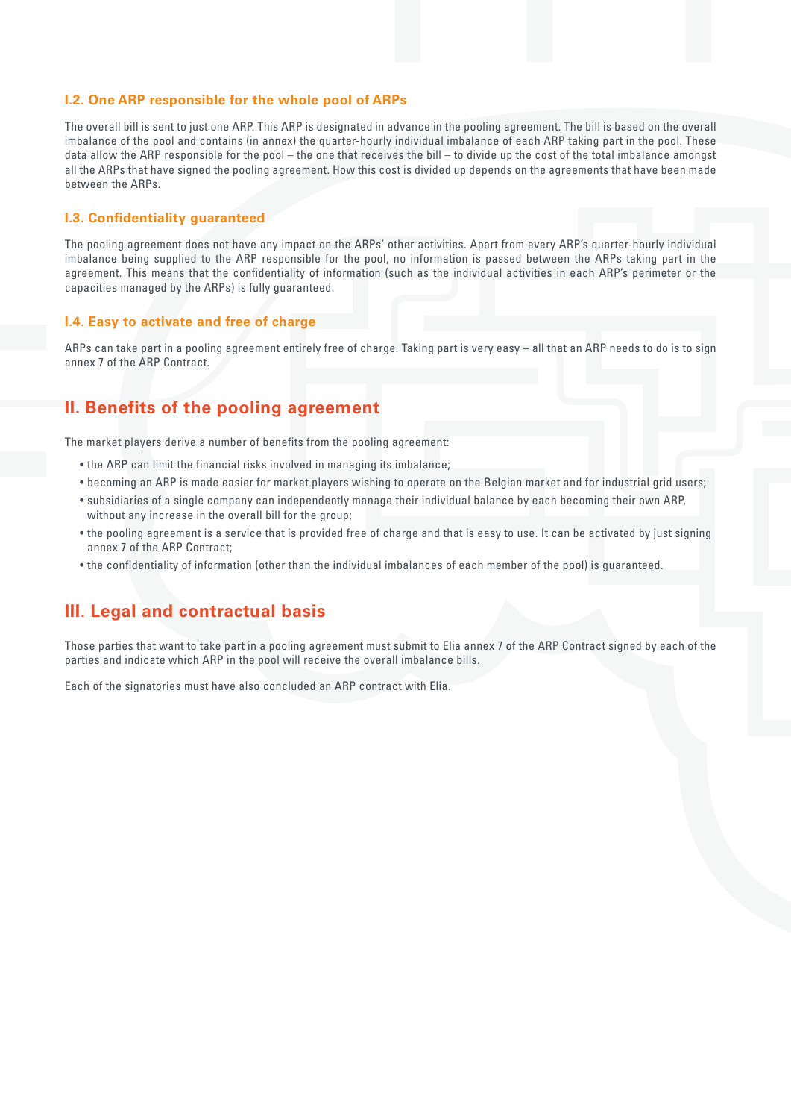#### **I.2. One ARP responsible for the whole pool of ARPs**

The overall bill is sent to just one ARP. This ARP is designated in advance in the pooling agreement. The bill is based on the overall imbalance of the pool and contains (in annex) the quarter-hourly individual imbalance of each ARP taking part in the pool. These data allow the ARP responsible for the pool – the one that receives the bill – to divide up the cost of the total imbalance amongst all the ARPs that have signed the pooling agreement. How this cost is divided up depends on the agreements that have been made between the ARPs.

#### **I.3. Confidentiality guaranteed**

The pooling agreement does not have any impact on the ARPs' other activities. Apart from every ARP's quarter-hourly individual imbalance being supplied to the ARP responsible for the pool, no information is passed between the ARPs taking part in the agreement. This means that the confidentiality of information (such as the individual activities in each ARP's perimeter or the capacities managed by the ARPs) is fully guaranteed.

#### **I.4. Easy to activate and free of charge**

ARPs can take part in a pooling agreement entirely free of charge. Taking part is very easy – all that an ARP needs to do is to sign annex 7 of the ARP Contract.

## **II. Benefits of the pooling agreement**

The market players derive a number of benefits from the pooling agreement:

- the ARP can limit the financial risks involved in managing its imbalance;
- • becoming an ARP is made easier for market players wishing to operate on the Belgian market and for industrial grid users;
- • subsidiaries of a single company can independently manage their individual balance by each becoming their own ARP, without any increase in the overall bill for the group;
- the pooling agreement is a service that is provided free of charge and that is easy to use. It can be activated by just signing annex 7 of the ARP Contract;
- • the confidentiality of information (other than the individual imbalances of each member of the pool) is guaranteed.

## **III. Legal and contractual basis**

Those parties that want to take part in a pooling agreement must submit to Elia annex 7 of the ARP Contract signed by each of the parties and indicate which ARP in the pool will receive the overall imbalance bills.

Each of the signatories must have also concluded an ARP contract with Elia.